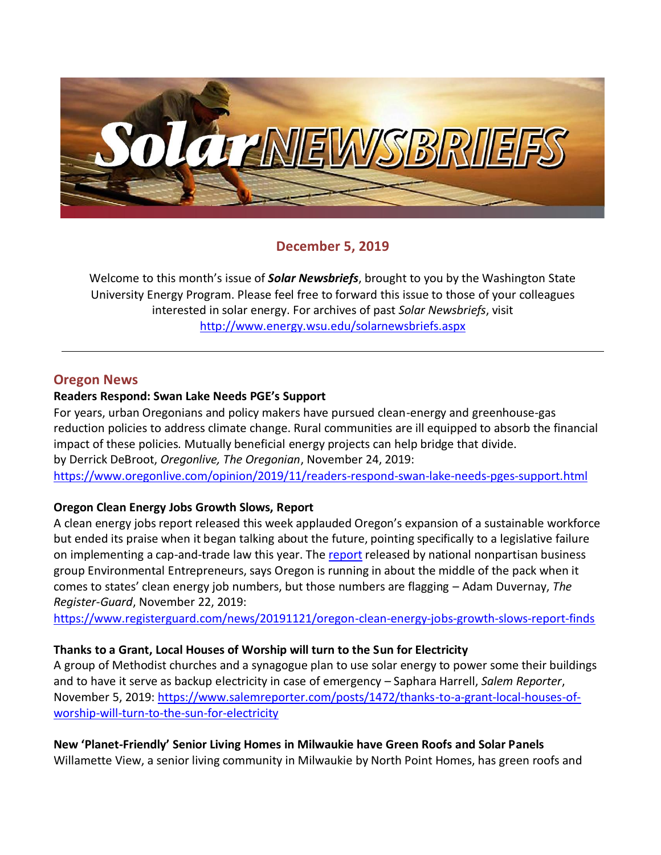

## **December 5, 2019**

Welcome to this month's issue of *Solar Newsbriefs*, brought to you by the Washington State University Energy Program. Please feel free to forward this issue to those of your colleagues interested in solar energy. For archives of past *Solar Newsbriefs*, visit <http://www.energy.wsu.edu/solarnewsbriefs.aspx>

### **Oregon News**

#### **Readers Respond: Swan Lake Needs PGE's Support**

For years, urban Oregonians and policy makers have pursued clean-energy and greenhouse-gas reduction policies to address climate change. Rural communities are ill equipped to absorb the financial impact of these policies. Mutually beneficial energy projects can help bridge that divide. by Derrick DeBroot, *Oregonlive, The Oregonian*, November 24, 2019: <https://www.oregonlive.com/opinion/2019/11/readers-respond-swan-lake-needs-pges-support.html>

### **Oregon Clean Energy Jobs Growth Slows, Report**

A clean energy jobs report released this week applauded Oregon's expansion of a sustainable workforce but ended its praise when it began talking about the future, pointing specifically to a legislative failure on implementing a cap-and-trade law this year. The [report](https://www.e2.org/wp-content/uploads/2019/11/E2-Clean-Jobs-Oregon-2019.pdf) released by national nonpartisan business group Environmental Entrepreneurs, says Oregon is running in about the middle of the pack when it comes to states' clean energy job numbers, but those numbers are flagging – Adam Duvernay, *The Register-Guard*, November 22, 2019:

<https://www.registerguard.com/news/20191121/oregon-clean-energy-jobs-growth-slows-report-finds>

### **Thanks to a Grant, Local Houses of Worship will turn to the Sun for Electricity**

A group of Methodist churches and a synagogue plan to use solar energy to power some their buildings and to have it serve as backup electricity in case of emergency – Saphara Harrell, *Salem Reporter*, November 5, 2019: [https://www.salemreporter.com/posts/1472/thanks-to-a-grant-local-houses-of](https://www.salemreporter.com/posts/1472/thanks-to-a-grant-local-houses-of-worship-will-turn-to-the-sun-for-electricity)[worship-will-turn-to-the-sun-for-electricity](https://www.salemreporter.com/posts/1472/thanks-to-a-grant-local-houses-of-worship-will-turn-to-the-sun-for-electricity)

## **New 'Planet-Friendly' Senior Living Homes in Milwaukie have Green Roofs and Solar Panels**

Willamette View, a senior living community in Milwaukie by North Point Homes, has green roofs and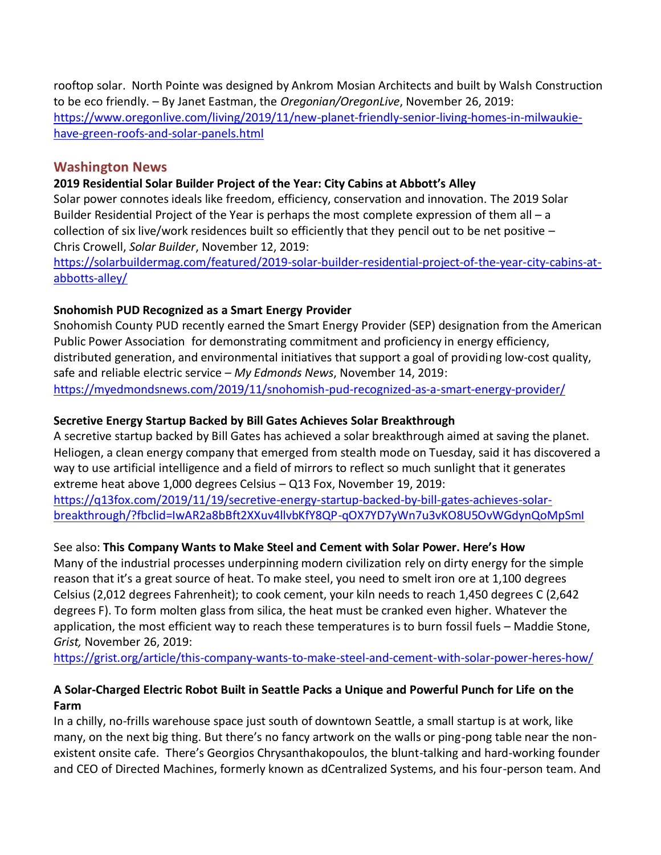rooftop solar. North Pointe was designed by Ankrom Mosian Architects and built by Walsh Construction to be eco friendly. – By Janet Eastman, the *Oregonian/OregonLive*, November 26, 2019: [https://www.oregonlive.com/living/2019/11/new-planet-friendly-senior-living-homes-in-milwaukie](https://www.oregonlive.com/living/2019/11/new-planet-friendly-senior-living-homes-in-milwaukie-have-green-roofs-and-solar-panels.html)[have-green-roofs-and-solar-panels.html](https://www.oregonlive.com/living/2019/11/new-planet-friendly-senior-living-homes-in-milwaukie-have-green-roofs-and-solar-panels.html)

### **Washington News**

## **2019 Residential Solar Builder Project of the Year: City Cabins at Abbott's Alley**

Solar power connotes ideals like freedom, efficiency, conservation and innovation. The 2019 Solar Builder Residential Project of the Year is perhaps the most complete expression of them all – a collection of six live/work residences built so efficiently that they pencil out to be net positive – Chris Crowell, *Solar Builder*, November 12, 2019:

[https://solarbuildermag.com/featured/2019-solar-builder-residential-project-of-the-year-city-cabins-at](https://solarbuildermag.com/featured/2019-solar-builder-residential-project-of-the-year-city-cabins-at-abbotts-alley/)[abbotts-alley/](https://solarbuildermag.com/featured/2019-solar-builder-residential-project-of-the-year-city-cabins-at-abbotts-alley/)

## **Snohomish PUD Recognized as a Smart Energy Provider**

Snohomish County PUD recently earned the Smart Energy Provider (SEP) designation from the American Public Power Association for demonstrating commitment and proficiency in energy efficiency, distributed generation, and environmental initiatives that support a goal of providing low-cost quality, safe and reliable electric service – *My Edmonds News*, November 14, 2019: <https://myedmondsnews.com/2019/11/snohomish-pud-recognized-as-a-smart-energy-provider/>

## **Secretive Energy Startup Backed by Bill Gates Achieves Solar Breakthrough**

A secretive startup backed by Bill Gates has achieved a solar breakthrough aimed at saving the planet. Heliogen, a clean energy company that emerged from stealth mode on Tuesday, said it has discovered a way to use artificial intelligence and a field of mirrors to reflect so much sunlight that it generates extreme heat above 1,000 degrees Celsius – Q13 Fox, November 19, 2019: [https://q13fox.com/2019/11/19/secretive-energy-startup-backed-by-bill-gates-achieves-solar-](https://q13fox.com/2019/11/19/secretive-energy-startup-backed-by-bill-gates-achieves-solar-breakthrough/?fbclid=IwAR2a8bBft2XXuv4llvbKfY8QP-qOX7YD7yWn7u3vKO8U5OvWGdynQoMpSmI)

[breakthrough/?fbclid=IwAR2a8bBft2XXuv4llvbKfY8QP-qOX7YD7yWn7u3vKO8U5OvWGdynQoMpSmI](https://q13fox.com/2019/11/19/secretive-energy-startup-backed-by-bill-gates-achieves-solar-breakthrough/?fbclid=IwAR2a8bBft2XXuv4llvbKfY8QP-qOX7YD7yWn7u3vKO8U5OvWGdynQoMpSmI)

## See also: **This Company Wants to Make Steel and Cement with Solar Power. Here's How**

Many of the industrial processes underpinning modern civilization rely on dirty energy for the simple reason that it's a great source of heat. To make steel, you need to smelt iron ore at 1,100 degrees Celsius (2,012 degrees Fahrenheit); to cook cement, your kiln needs to reach 1,450 degrees C (2,642 degrees F). To form molten glass from silica, the heat must be cranked even higher. Whatever the application, the most efficient way to reach these temperatures is to burn fossil fuels – Maddie Stone, *Grist,* November 26, 2019:

<https://grist.org/article/this-company-wants-to-make-steel-and-cement-with-solar-power-heres-how/>

## **A Solar-Charged Electric Robot Built in Seattle Packs a Unique and Powerful Punch for Life on the Farm**

In a chilly, no-frills warehouse space just south of downtown Seattle, a small startup is at work, like many, on the next big thing. But there's no fancy artwork on the walls or ping-pong table near the nonexistent onsite cafe. There's Georgios Chrysanthakopoulos, the blunt-talking and hard-working founder and CEO of [Directed Machines,](https://directedmachines.com/) formerly known as dCentralized Systems, and his four-person team. And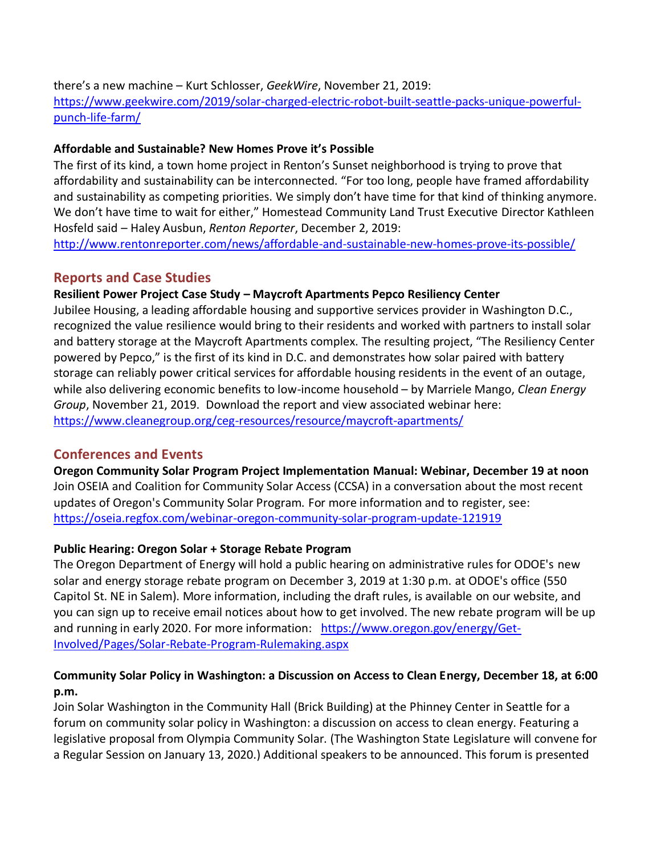there's a new machine – Kurt Schlosser, *GeekWire*, November 21, 2019: [https://www.geekwire.com/2019/solar-charged-electric-robot-built-seattle-packs-unique-powerful](https://www.geekwire.com/2019/solar-charged-electric-robot-built-seattle-packs-unique-powerful-punch-life-farm/)[punch-life-farm/](https://www.geekwire.com/2019/solar-charged-electric-robot-built-seattle-packs-unique-powerful-punch-life-farm/)

### **Affordable and Sustainable? New Homes Prove it's Possible**

The first of its kind, a town home project in Renton's Sunset neighborhood is trying to prove that affordability and sustainability can be interconnected. "For too long, people have framed affordability and sustainability as competing priorities. We simply don't have time for that kind of thinking anymore. We don't have time to wait for either," Homestead Community Land Trust Executive Director Kathleen Hosfeld said – Haley Ausbun, *Renton Reporter*, December 2, 2019:

<http://www.rentonreporter.com/news/affordable-and-sustainable-new-homes-prove-its-possible/>

## **Reports and Case Studies**

## **Resilient Power Project Case Study – [Maycroft Apartments Pepco Resiliency Center](https://www.cleanegroup.org/wp-content/uploads/Maycroft-Case-Study.pdf)**

Jubilee Housing, a leading affordable housing and supportive services provider in Washington D.C., recognized the value resilience would bring to their residents and worked with partners to install solar and battery storage at the Maycroft Apartments complex. The resulting project, "The Resiliency Center powered by Pepco," is the first of its kind in D.C. and demonstrates how solar paired with battery storage can reliably power critical services for affordable housing residents in the event of an outage, while also delivering economic benefits to low-income household – by Marriele Mango, *Clean Energy Group*, November 21, 2019. Download the report and view associated webinar here: <https://www.cleanegroup.org/ceg-resources/resource/maycroft-apartments/>

# **Conferences and Events**

**Oregon Community Solar Program Project Implementation Manual: Webinar, December 19 at noon** Join OSEIA and Coalition for Community Solar Access (CCSA) in a conversation about the most recent updates of Oregon's Community Solar Program. For more information and to register, see: <https://oseia.regfox.com/webinar-oregon-community-solar-program-update-121919>

### **Public Hearing: Oregon Solar + Storage Rebate Program**

The Oregon Department of Energy will hold a public hearing on administrative rules for ODOE's new solar and energy storage rebate program on December 3, 2019 at 1:30 p.m. at ODOE's office (550 Capitol St. NE in Salem). More information, including the draft rules, is available [on our website,](https://www.oregon.gov/energy/Get-Involved/Pages/Solar-Rebate-Program-Rulemaking.aspx) and you can [sign up to receive email notices](https://public.govdelivery.com/accounts/ORDOE/subscriber/new?topic_id=ORDOE_203) about how to get involved. The new rebate program will be up and running in early 2020. For more information: [https://www.oregon.gov/energy/Get-](https://www.oregon.gov/energy/Get-Involved/Pages/Solar-Rebate-Program-Rulemaking.aspx)[Involved/Pages/Solar-Rebate-Program-Rulemaking.aspx](https://www.oregon.gov/energy/Get-Involved/Pages/Solar-Rebate-Program-Rulemaking.aspx) 

## **Community Solar Policy in Washington: a Discussion on Access to Clean Energy, December 18, at 6:00 p.m.**

Join Solar Washington in the Community Hall (Brick Building) at the Phinney Center in Seattle for a forum on community solar policy in Washington: a discussion on access to clean energy. Featuring a legislative proposal from Olympia Community Solar. (The Washington State Legislature will convene for a Regular Session on January 13, 2020.) Additional speakers to be announced. This forum is presented